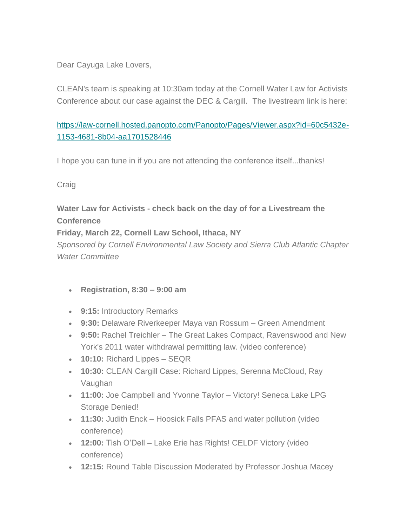Dear Cayuga Lake Lovers,

CLEAN's team is speaking at 10:30am today at the Cornell Water Law for Activists Conference about our case against the DEC & Cargill. The livestream link is here:

## [https://law-cornell.hosted.panopto.com/Panopto/Pages/Viewer.aspx?id=60c5432e-](https://law-cornell.hosted.panopto.com/Panopto/Pages/Viewer.aspx?id=60c5432e-1153-4681-8b04-aa1701528446)[1153-4681-8b04-aa1701528446](https://law-cornell.hosted.panopto.com/Panopto/Pages/Viewer.aspx?id=60c5432e-1153-4681-8b04-aa1701528446)

I hope you can tune in if you are not attending the conference itself...thanks!

Craig

## **Water Law for Activists - check back on the day of for a Livestream the Conference**

**Friday, March 22, Cornell Law School, Ithaca, NY**

*Sponsored by Cornell Environmental Law Society and Sierra Club Atlantic Chapter Water Committee*

- **Registration, 8:30 – 9:00 am**
- **9:15:** Introductory Remarks
- **9:30:** Delaware Riverkeeper Maya van Rossum Green Amendment
- **9:50:** Rachel Treichler The Great Lakes Compact, Ravenswood and New York's 2011 water withdrawal permitting law. (video conference)
- **10:10:** Richard Lippes SEQR
- **10:30:** CLEAN Cargill Case: Richard Lippes, Serenna McCloud, Ray Vaughan
- **11:00:** Joe Campbell and Yvonne Taylor Victory! Seneca Lake LPG Storage Denied!
- **11:30:** Judith Enck Hoosick Falls PFAS and water pollution (video conference)
- **12:00:** Tish O'Dell Lake Erie has Rights! CELDF Victory (video conference)
- **12:15:** Round Table Discussion Moderated by Professor Joshua Macey